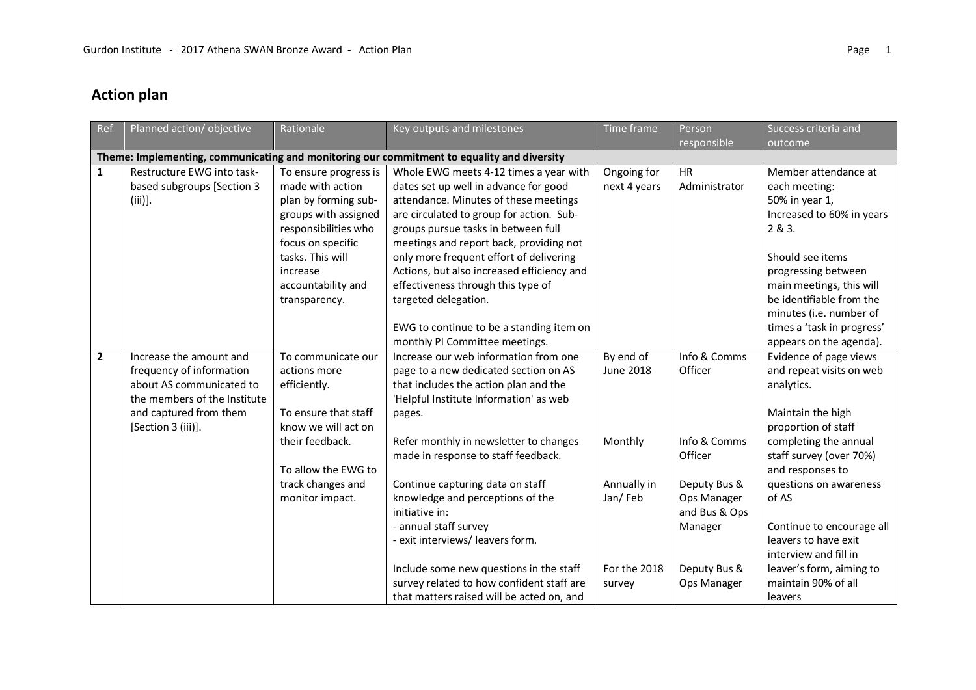## **Action plan**

| Ref          | Planned action/objective                                                                                                                                        | Rationale                                                                                                                                                                                                     | Key outputs and milestones                                                                                                                                                                                                                                                                                                                                                                                                                                                                                                                               | Time frame                                                                                   | Person<br>responsible                                                                                                                        | Success criteria and<br>outcome                                                                                                                                                                                                                                                                                                                                            |
|--------------|-----------------------------------------------------------------------------------------------------------------------------------------------------------------|---------------------------------------------------------------------------------------------------------------------------------------------------------------------------------------------------------------|----------------------------------------------------------------------------------------------------------------------------------------------------------------------------------------------------------------------------------------------------------------------------------------------------------------------------------------------------------------------------------------------------------------------------------------------------------------------------------------------------------------------------------------------------------|----------------------------------------------------------------------------------------------|----------------------------------------------------------------------------------------------------------------------------------------------|----------------------------------------------------------------------------------------------------------------------------------------------------------------------------------------------------------------------------------------------------------------------------------------------------------------------------------------------------------------------------|
|              |                                                                                                                                                                 |                                                                                                                                                                                                               | Theme: Implementing, communicating and monitoring our commitment to equality and diversity                                                                                                                                                                                                                                                                                                                                                                                                                                                               |                                                                                              |                                                                                                                                              |                                                                                                                                                                                                                                                                                                                                                                            |
| $\mathbf{1}$ | Restructure EWG into task-<br>based subgroups [Section 3<br>$(iii)$ ].                                                                                          | To ensure progress is<br>made with action<br>plan by forming sub-<br>groups with assigned<br>responsibilities who<br>focus on specific<br>tasks. This will<br>increase<br>accountability and<br>transparency. | Whole EWG meets 4-12 times a year with<br>dates set up well in advance for good<br>attendance. Minutes of these meetings<br>are circulated to group for action. Sub-<br>groups pursue tasks in between full<br>meetings and report back, providing not<br>only more frequent effort of delivering<br>Actions, but also increased efficiency and<br>effectiveness through this type of<br>targeted delegation.<br>EWG to continue to be a standing item on<br>monthly PI Committee meetings.                                                              | Ongoing for<br>next 4 years                                                                  | <b>HR</b><br>Administrator                                                                                                                   | Member attendance at<br>each meeting:<br>50% in year 1,<br>Increased to 60% in years<br>2 & 3.<br>Should see items<br>progressing between<br>main meetings, this will<br>be identifiable from the<br>minutes (i.e. number of<br>times a 'task in progress'<br>appears on the agenda).                                                                                      |
| $\mathbf{2}$ | Increase the amount and<br>frequency of information<br>about AS communicated to<br>the members of the Institute<br>and captured from them<br>[Section 3 (iii)]. | To communicate our<br>actions more<br>efficiently.<br>To ensure that staff<br>know we will act on<br>their feedback.<br>To allow the EWG to<br>track changes and<br>monitor impact.                           | Increase our web information from one<br>page to a new dedicated section on AS<br>that includes the action plan and the<br>'Helpful Institute Information' as web<br>pages.<br>Refer monthly in newsletter to changes<br>made in response to staff feedback.<br>Continue capturing data on staff<br>knowledge and perceptions of the<br>initiative in:<br>- annual staff survey<br>- exit interviews/ leavers form.<br>Include some new questions in the staff<br>survey related to how confident staff are<br>that matters raised will be acted on, and | By end of<br><b>June 2018</b><br>Monthly<br>Annually in<br>Jan/Feb<br>For the 2018<br>survey | Info & Comms<br>Officer<br>Info & Comms<br>Officer<br>Deputy Bus &<br>Ops Manager<br>and Bus & Ops<br>Manager<br>Deputy Bus &<br>Ops Manager | Evidence of page views<br>and repeat visits on web<br>analytics.<br>Maintain the high<br>proportion of staff<br>completing the annual<br>staff survey (over 70%)<br>and responses to<br>questions on awareness<br>of AS<br>Continue to encourage all<br>leavers to have exit<br>interview and fill in<br>leaver's form, aiming to<br>maintain 90% of all<br><b>leavers</b> |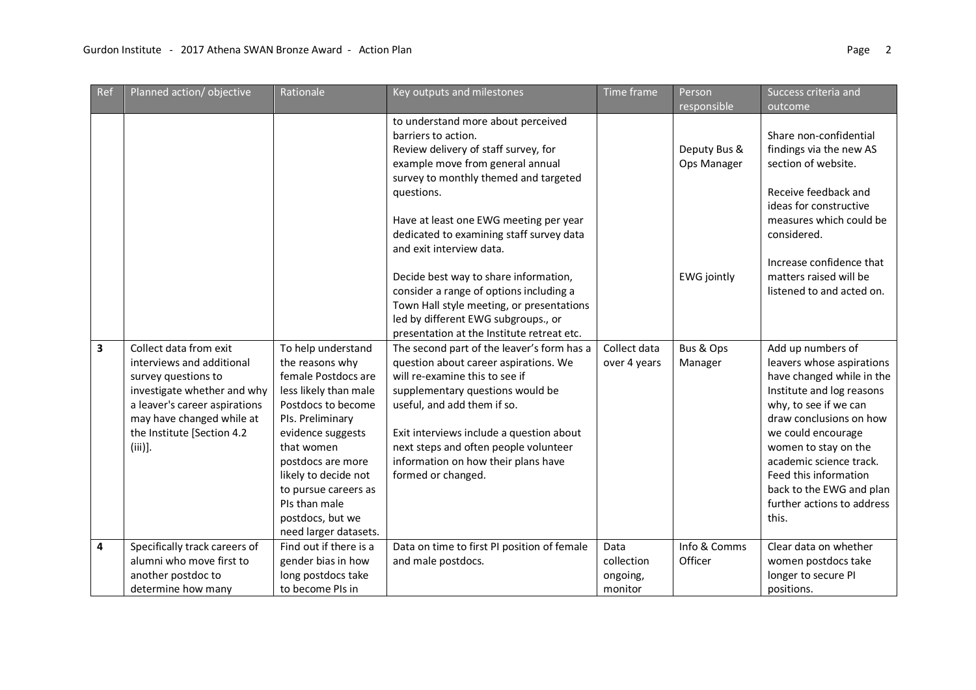| Ref                     | Planned action/objective                                                                                                                                                                                            | Rationale                                                                                                                                                                                                                                                                                             | Key outputs and milestones                                                                                                                                                                                                                                                                                                                 | Time frame                                | Person<br>responsible       | Success criteria and<br>outcome                                                                                                                                                                                                                                                                                                   |
|-------------------------|---------------------------------------------------------------------------------------------------------------------------------------------------------------------------------------------------------------------|-------------------------------------------------------------------------------------------------------------------------------------------------------------------------------------------------------------------------------------------------------------------------------------------------------|--------------------------------------------------------------------------------------------------------------------------------------------------------------------------------------------------------------------------------------------------------------------------------------------------------------------------------------------|-------------------------------------------|-----------------------------|-----------------------------------------------------------------------------------------------------------------------------------------------------------------------------------------------------------------------------------------------------------------------------------------------------------------------------------|
|                         |                                                                                                                                                                                                                     |                                                                                                                                                                                                                                                                                                       | to understand more about perceived<br>barriers to action.<br>Review delivery of staff survey, for<br>example move from general annual<br>survey to monthly themed and targeted<br>questions.<br>Have at least one EWG meeting per year<br>dedicated to examining staff survey data<br>and exit interview data.                             |                                           | Deputy Bus &<br>Ops Manager | Share non-confidential<br>findings via the new AS<br>section of website.<br>Receive feedback and<br>ideas for constructive<br>measures which could be<br>considered.                                                                                                                                                              |
|                         |                                                                                                                                                                                                                     |                                                                                                                                                                                                                                                                                                       | Decide best way to share information,<br>consider a range of options including a<br>Town Hall style meeting, or presentations<br>led by different EWG subgroups., or<br>presentation at the Institute retreat etc.                                                                                                                         |                                           | <b>EWG</b> jointly          | Increase confidence that<br>matters raised will be<br>listened to and acted on.                                                                                                                                                                                                                                                   |
| $\overline{\mathbf{3}}$ | Collect data from exit<br>interviews and additional<br>survey questions to<br>investigate whether and why<br>a leaver's career aspirations<br>may have changed while at<br>the Institute [Section 4.2<br>$(iii)$ ]. | To help understand<br>the reasons why<br>female Postdocs are<br>less likely than male<br>Postdocs to become<br>PIs. Preliminary<br>evidence suggests<br>that women<br>postdocs are more<br>likely to decide not<br>to pursue careers as<br>PIs than male<br>postdocs, but we<br>need larger datasets. | The second part of the leaver's form has a<br>question about career aspirations. We<br>will re-examine this to see if<br>supplementary questions would be<br>useful, and add them if so.<br>Exit interviews include a question about<br>next steps and often people volunteer<br>information on how their plans have<br>formed or changed. | Collect data<br>over 4 years              | Bus & Ops<br>Manager        | Add up numbers of<br>leavers whose aspirations<br>have changed while in the<br>Institute and log reasons<br>why, to see if we can<br>draw conclusions on how<br>we could encourage<br>women to stay on the<br>academic science track.<br>Feed this information<br>back to the EWG and plan<br>further actions to address<br>this. |
| 4                       | Specifically track careers of<br>alumni who move first to<br>another postdoc to<br>determine how many                                                                                                               | Find out if there is a<br>gender bias in how<br>long postdocs take<br>to become PIs in                                                                                                                                                                                                                | Data on time to first PI position of female<br>and male postdocs.                                                                                                                                                                                                                                                                          | Data<br>collection<br>ongoing,<br>monitor | Info & Comms<br>Officer     | Clear data on whether<br>women postdocs take<br>longer to secure PI<br>positions.                                                                                                                                                                                                                                                 |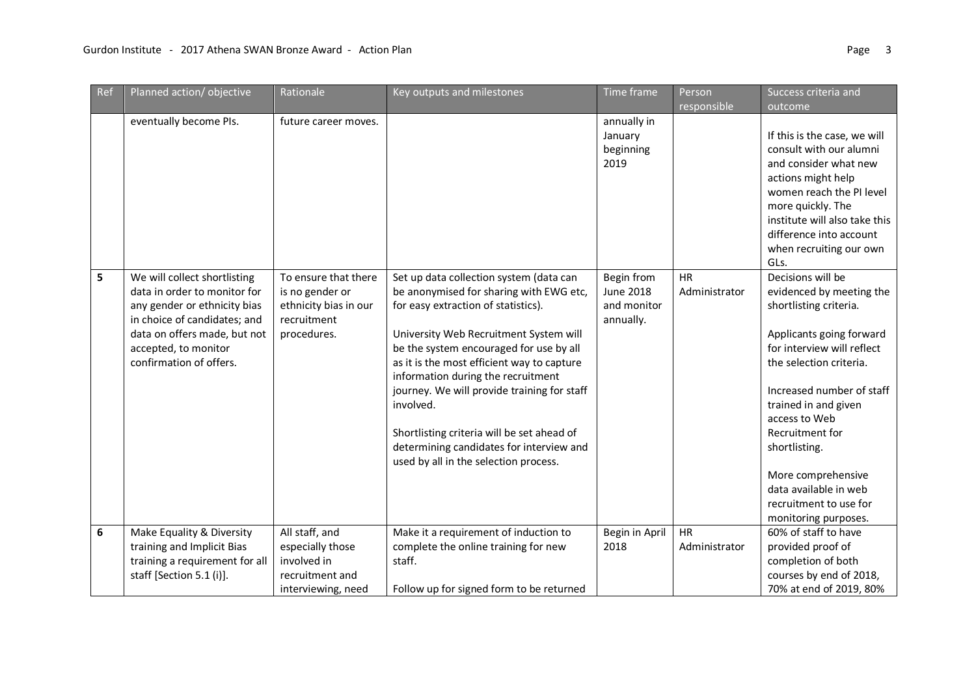| Ref | Planned action/objective                                                                                                                                                                                        | Rationale                                                                                      | Key outputs and milestones                                                                                                                                                                                                                                                                                                                                                                                                                                                                        | Time frame                                                 | Person                     | Success criteria and                                                                                                                                                                                                                                                                                                                                                    |
|-----|-----------------------------------------------------------------------------------------------------------------------------------------------------------------------------------------------------------------|------------------------------------------------------------------------------------------------|---------------------------------------------------------------------------------------------------------------------------------------------------------------------------------------------------------------------------------------------------------------------------------------------------------------------------------------------------------------------------------------------------------------------------------------------------------------------------------------------------|------------------------------------------------------------|----------------------------|-------------------------------------------------------------------------------------------------------------------------------------------------------------------------------------------------------------------------------------------------------------------------------------------------------------------------------------------------------------------------|
|     |                                                                                                                                                                                                                 |                                                                                                |                                                                                                                                                                                                                                                                                                                                                                                                                                                                                                   |                                                            | responsible                | outcome                                                                                                                                                                                                                                                                                                                                                                 |
|     | eventually become PIs.                                                                                                                                                                                          | future career moves.                                                                           |                                                                                                                                                                                                                                                                                                                                                                                                                                                                                                   | annually in<br>January<br>beginning<br>2019                |                            | If this is the case, we will<br>consult with our alumni<br>and consider what new<br>actions might help<br>women reach the PI level<br>more quickly. The<br>institute will also take this<br>difference into account<br>when recruiting our own<br>GLs.                                                                                                                  |
| 5   | We will collect shortlisting<br>data in order to monitor for<br>any gender or ethnicity bias<br>in choice of candidates; and<br>data on offers made, but not<br>accepted, to monitor<br>confirmation of offers. | To ensure that there<br>is no gender or<br>ethnicity bias in our<br>recruitment<br>procedures. | Set up data collection system (data can<br>be anonymised for sharing with EWG etc,<br>for easy extraction of statistics).<br>University Web Recruitment System will<br>be the system encouraged for use by all<br>as it is the most efficient way to capture<br>information during the recruitment<br>journey. We will provide training for staff<br>involved.<br>Shortlisting criteria will be set ahead of<br>determining candidates for interview and<br>used by all in the selection process. | Begin from<br><b>June 2018</b><br>and monitor<br>annually. | <b>HR</b><br>Administrator | Decisions will be<br>evidenced by meeting the<br>shortlisting criteria.<br>Applicants going forward<br>for interview will reflect<br>the selection criteria.<br>Increased number of staff<br>trained in and given<br>access to Web<br>Recruitment for<br>shortlisting.<br>More comprehensive<br>data available in web<br>recruitment to use for<br>monitoring purposes. |
| 6   | Make Equality & Diversity<br>training and Implicit Bias<br>training a requirement for all<br>staff [Section 5.1 (i)].                                                                                           | All staff, and<br>especially those<br>involved in<br>recruitment and<br>interviewing, need     | Make it a requirement of induction to<br>complete the online training for new<br>staff.<br>Follow up for signed form to be returned                                                                                                                                                                                                                                                                                                                                                               | Begin in April<br>2018                                     | <b>HR</b><br>Administrator | 60% of staff to have<br>provided proof of<br>completion of both<br>courses by end of 2018,<br>70% at end of 2019, 80%                                                                                                                                                                                                                                                   |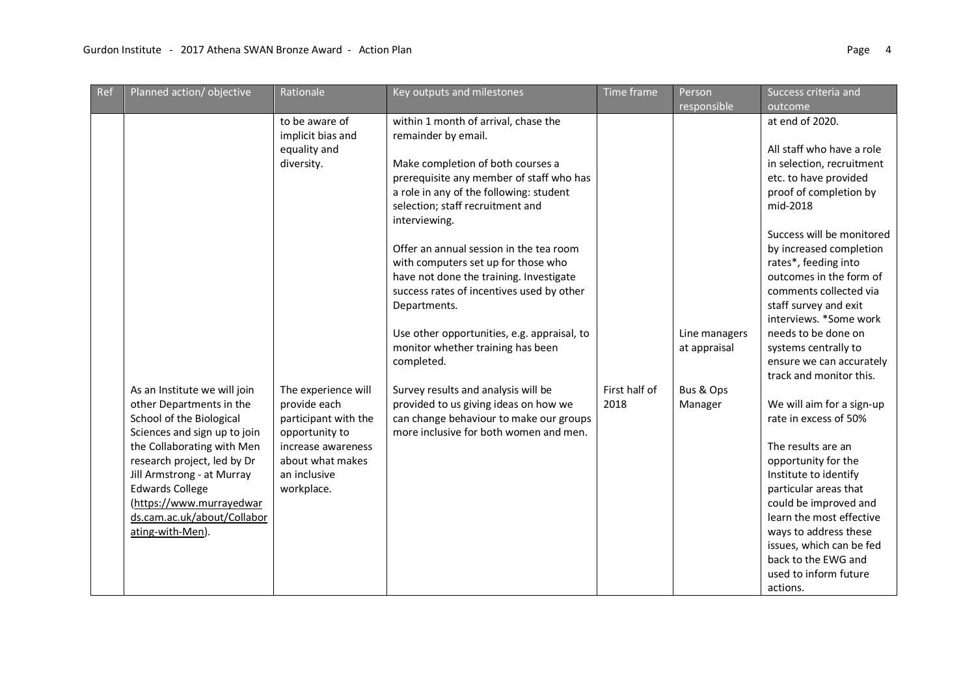| Ref | Planned action/objective                                                                                                                                                                                                                                                                                                 | Rationale                                                                                                                                                                                                                  | Key outputs and milestones                                                                                                                                                                                                                                                                                                                                                                                                                                                                                                                                                                                                                                                                                    | Time frame            | Person<br>responsible                                 | Success criteria and<br>outcome                                                                                                                                                                                                                                                                                                                                                                                                                                                                                                                                                                                                                                                                                                                                   |
|-----|--------------------------------------------------------------------------------------------------------------------------------------------------------------------------------------------------------------------------------------------------------------------------------------------------------------------------|----------------------------------------------------------------------------------------------------------------------------------------------------------------------------------------------------------------------------|---------------------------------------------------------------------------------------------------------------------------------------------------------------------------------------------------------------------------------------------------------------------------------------------------------------------------------------------------------------------------------------------------------------------------------------------------------------------------------------------------------------------------------------------------------------------------------------------------------------------------------------------------------------------------------------------------------------|-----------------------|-------------------------------------------------------|-------------------------------------------------------------------------------------------------------------------------------------------------------------------------------------------------------------------------------------------------------------------------------------------------------------------------------------------------------------------------------------------------------------------------------------------------------------------------------------------------------------------------------------------------------------------------------------------------------------------------------------------------------------------------------------------------------------------------------------------------------------------|
|     | As an Institute we will join<br>other Departments in the<br>School of the Biological<br>Sciences and sign up to join<br>the Collaborating with Men<br>research project, led by Dr<br>Jill Armstrong - at Murray<br><b>Edwards College</b><br>(https://www.murrayedwar<br>ds.cam.ac.uk/about/Collabor<br>ating-with-Men). | to be aware of<br>implicit bias and<br>equality and<br>diversity.<br>The experience will<br>provide each<br>participant with the<br>opportunity to<br>increase awareness<br>about what makes<br>an inclusive<br>workplace. | within 1 month of arrival, chase the<br>remainder by email.<br>Make completion of both courses a<br>prerequisite any member of staff who has<br>a role in any of the following: student<br>selection; staff recruitment and<br>interviewing.<br>Offer an annual session in the tea room<br>with computers set up for those who<br>have not done the training. Investigate<br>success rates of incentives used by other<br>Departments.<br>Use other opportunities, e.g. appraisal, to<br>monitor whether training has been<br>completed.<br>Survey results and analysis will be<br>provided to us giving ideas on how we<br>can change behaviour to make our groups<br>more inclusive for both women and men. | First half of<br>2018 | Line managers<br>at appraisal<br>Bus & Ops<br>Manager | at end of 2020.<br>All staff who have a role<br>in selection, recruitment<br>etc. to have provided<br>proof of completion by<br>mid-2018<br>Success will be monitored<br>by increased completion<br>rates*, feeding into<br>outcomes in the form of<br>comments collected via<br>staff survey and exit<br>interviews. *Some work<br>needs to be done on<br>systems centrally to<br>ensure we can accurately<br>track and monitor this.<br>We will aim for a sign-up<br>rate in excess of 50%<br>The results are an<br>opportunity for the<br>Institute to identify<br>particular areas that<br>could be improved and<br>learn the most effective<br>ways to address these<br>issues, which can be fed<br>back to the EWG and<br>used to inform future<br>actions. |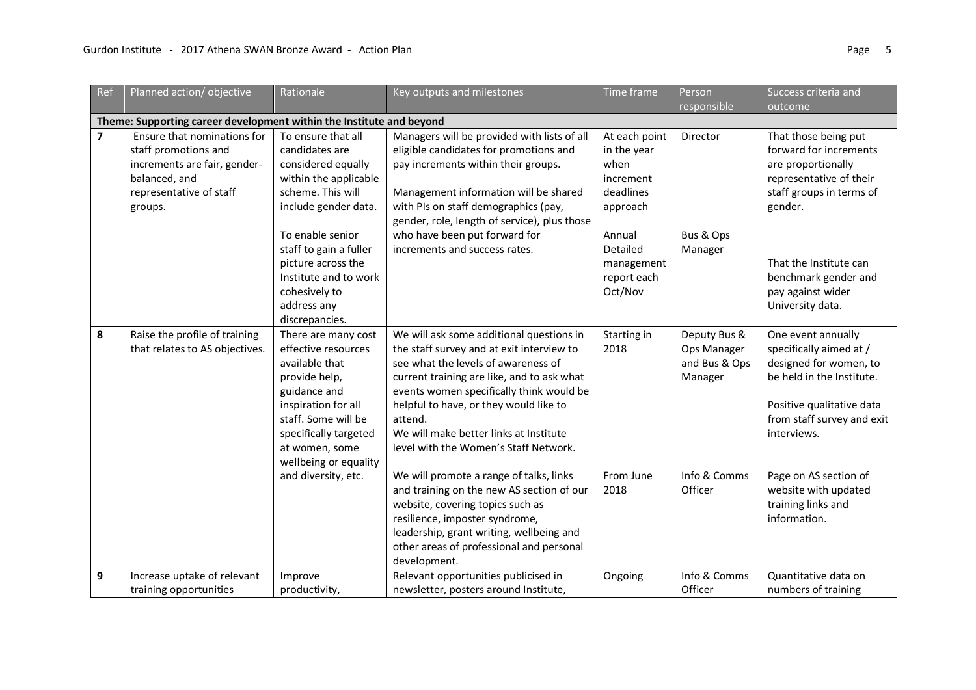| Ref                     | Planned action/objective                                                                                                                   | Rationale                                                                                                                                                                                                                                                                       | Key outputs and milestones                                                                                                                                                                                                                                                                                                                                                                                                                                                                                                                                                                                                           | Time frame                                                                                                                               | Person<br>responsible                                                              | Success criteria and<br>outcome                                                                                                                                                                                                                                       |  |  |  |  |
|-------------------------|--------------------------------------------------------------------------------------------------------------------------------------------|---------------------------------------------------------------------------------------------------------------------------------------------------------------------------------------------------------------------------------------------------------------------------------|--------------------------------------------------------------------------------------------------------------------------------------------------------------------------------------------------------------------------------------------------------------------------------------------------------------------------------------------------------------------------------------------------------------------------------------------------------------------------------------------------------------------------------------------------------------------------------------------------------------------------------------|------------------------------------------------------------------------------------------------------------------------------------------|------------------------------------------------------------------------------------|-----------------------------------------------------------------------------------------------------------------------------------------------------------------------------------------------------------------------------------------------------------------------|--|--|--|--|
|                         | Theme: Supporting career development within the Institute and beyond                                                                       |                                                                                                                                                                                                                                                                                 |                                                                                                                                                                                                                                                                                                                                                                                                                                                                                                                                                                                                                                      |                                                                                                                                          |                                                                                    |                                                                                                                                                                                                                                                                       |  |  |  |  |
| $\overline{\mathbf{z}}$ | Ensure that nominations for<br>staff promotions and<br>increments are fair, gender-<br>balanced, and<br>representative of staff<br>groups. | To ensure that all<br>candidates are<br>considered equally<br>within the applicable<br>scheme. This will<br>include gender data.<br>To enable senior<br>staff to gain a fuller<br>picture across the<br>Institute and to work<br>cohesively to<br>address any<br>discrepancies. | Managers will be provided with lists of all<br>eligible candidates for promotions and<br>pay increments within their groups.<br>Management information will be shared<br>with PIs on staff demographics (pay,<br>gender, role, length of service), plus those<br>who have been put forward for<br>increments and success rates.                                                                                                                                                                                                                                                                                                      | At each point<br>in the year<br>when<br>increment<br>deadlines<br>approach<br>Annual<br>Detailed<br>management<br>report each<br>Oct/Nov | Director<br>Bus & Ops<br>Manager                                                   | That those being put<br>forward for increments<br>are proportionally<br>representative of their<br>staff groups in terms of<br>gender.<br>That the Institute can<br>benchmark gender and<br>pay against wider<br>University data.                                     |  |  |  |  |
| 8                       | Raise the profile of training<br>that relates to AS objectives.                                                                            | There are many cost<br>effective resources<br>available that<br>provide help,<br>guidance and<br>inspiration for all<br>staff. Some will be<br>specifically targeted<br>at women, some<br>wellbeing or equality<br>and diversity, etc.                                          | We will ask some additional questions in<br>the staff survey and at exit interview to<br>see what the levels of awareness of<br>current training are like, and to ask what<br>events women specifically think would be<br>helpful to have, or they would like to<br>attend.<br>We will make better links at Institute<br>level with the Women's Staff Network.<br>We will promote a range of talks, links<br>and training on the new AS section of our<br>website, covering topics such as<br>resilience, imposter syndrome,<br>leadership, grant writing, wellbeing and<br>other areas of professional and personal<br>development. | Starting in<br>2018<br>From June<br>2018                                                                                                 | Deputy Bus &<br>Ops Manager<br>and Bus & Ops<br>Manager<br>Info & Comms<br>Officer | One event annually<br>specifically aimed at /<br>designed for women, to<br>be held in the Institute.<br>Positive qualitative data<br>from staff survey and exit<br>interviews.<br>Page on AS section of<br>website with updated<br>training links and<br>information. |  |  |  |  |
| 9                       | Increase uptake of relevant<br>training opportunities                                                                                      | Improve<br>productivity,                                                                                                                                                                                                                                                        | Relevant opportunities publicised in<br>newsletter, posters around Institute,                                                                                                                                                                                                                                                                                                                                                                                                                                                                                                                                                        | Ongoing                                                                                                                                  | Info & Comms<br>Officer                                                            | Quantitative data on<br>numbers of training                                                                                                                                                                                                                           |  |  |  |  |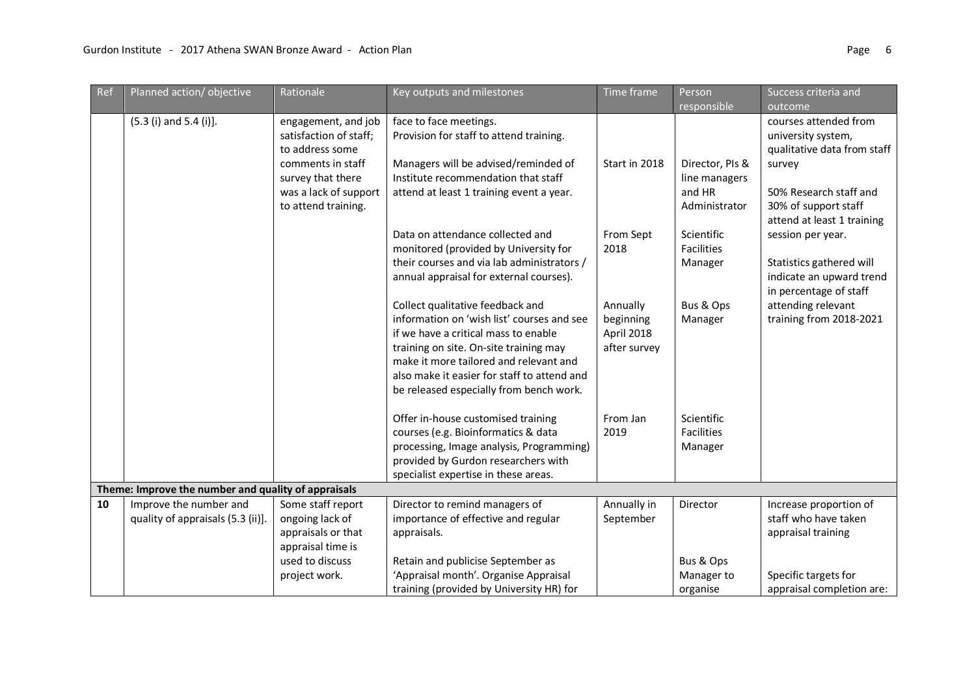| Ref | Planned action/objective                                    | Rationale                                                                                                                                                  | Key outputs and milestones                                                                                                                                                                                                                                                                           | Time frame                                          | Person<br>responsible                                       | Success criteria and<br>outcome                                                                                                                                      |
|-----|-------------------------------------------------------------|------------------------------------------------------------------------------------------------------------------------------------------------------------|------------------------------------------------------------------------------------------------------------------------------------------------------------------------------------------------------------------------------------------------------------------------------------------------------|-----------------------------------------------------|-------------------------------------------------------------|----------------------------------------------------------------------------------------------------------------------------------------------------------------------|
|     | $(5.3$ (i) and $5.4$ (i)].                                  | engagement, and job<br>satisfaction of staff;<br>to address some<br>comments in staff<br>survey that there<br>was a lack of support<br>to attend training. | face to face meetings.<br>Provision for staff to attend training.<br>Managers will be advised/reminded of<br>Institute recommendation that staff<br>attend at least 1 training event a year.                                                                                                         | Start in 2018                                       | Director, PIs &<br>line managers<br>and HR<br>Administrator | courses attended from<br>university system,<br>qualitative data from staff<br>survey<br>50% Research staff and<br>30% of support staff<br>attend at least 1 training |
|     |                                                             |                                                                                                                                                            | Data on attendance collected and<br>monitored (provided by University for<br>their courses and via lab administrators /<br>annual appraisal for external courses).                                                                                                                                   | From Sept<br>2018                                   | Scientific<br><b>Facilities</b><br>Manager                  | session per year.<br>Statistics gathered will<br>indicate an upward trend<br>in percentage of staff                                                                  |
|     |                                                             |                                                                                                                                                            | Collect qualitative feedback and<br>information on 'wish list' courses and see<br>if we have a critical mass to enable<br>training on site. On-site training may<br>make it more tailored and relevant and<br>also make it easier for staff to attend and<br>be released especially from bench work. | Annually<br>beginning<br>April 2018<br>after survey | Bus & Ops<br>Manager                                        | attending relevant<br>training from 2018-2021                                                                                                                        |
|     |                                                             |                                                                                                                                                            | Offer in-house customised training<br>courses (e.g. Bioinformatics & data<br>processing, Image analysis, Programming)<br>provided by Gurdon researchers with<br>specialist expertise in these areas.                                                                                                 | From Jan<br>2019                                    | Scientific<br><b>Facilities</b><br>Manager                  |                                                                                                                                                                      |
|     | Theme: Improve the number and quality of appraisals         |                                                                                                                                                            |                                                                                                                                                                                                                                                                                                      |                                                     |                                                             |                                                                                                                                                                      |
| 10  | Improve the number and<br>quality of appraisals (5.3 (ii)]. | Some staff report<br>ongoing lack of<br>appraisals or that<br>appraisal time is<br>used to discuss                                                         | Director to remind managers of<br>importance of effective and regular<br>appraisals.<br>Retain and publicise September as                                                                                                                                                                            | Annually in<br>September                            | Director<br>Bus & Ops                                       | Increase proportion of<br>staff who have taken<br>appraisal training                                                                                                 |
|     |                                                             | project work.                                                                                                                                              | 'Appraisal month'. Organise Appraisal<br>training (provided by University HR) for                                                                                                                                                                                                                    |                                                     | Manager to<br>organise                                      | Specific targets for<br>appraisal completion are:                                                                                                                    |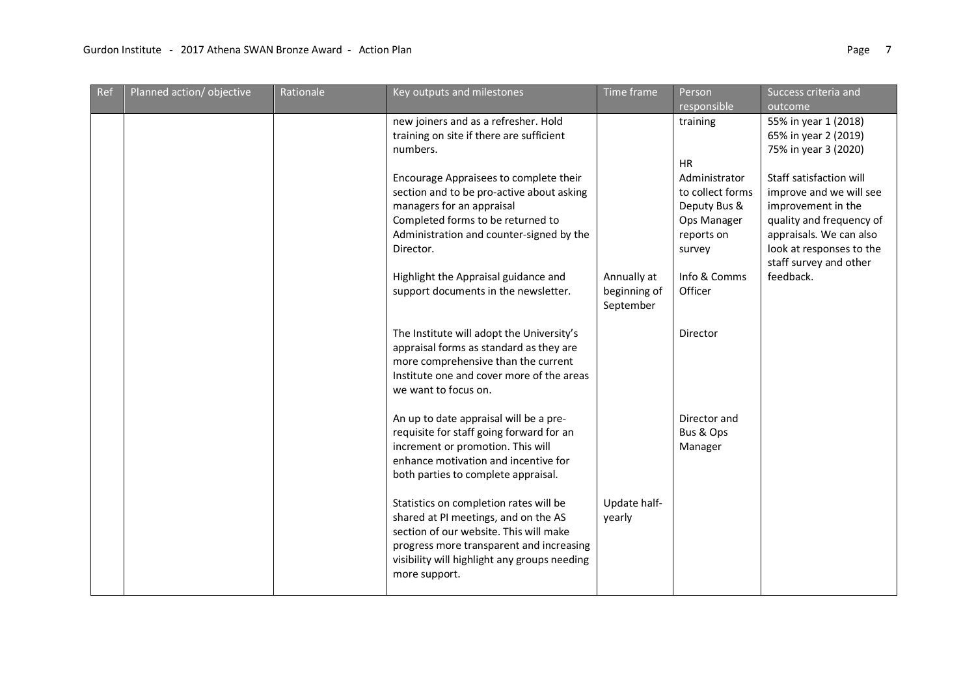| Ref | Planned action/objective | Rationale | Key outputs and milestones                                                                                                                                                                                                            | Time frame                               | Person<br>responsible                                                   | Success criteria and<br>outcome                                                                                                                            |
|-----|--------------------------|-----------|---------------------------------------------------------------------------------------------------------------------------------------------------------------------------------------------------------------------------------------|------------------------------------------|-------------------------------------------------------------------------|------------------------------------------------------------------------------------------------------------------------------------------------------------|
|     |                          |           | new joiners and as a refresher. Hold<br>training on site if there are sufficient<br>numbers.<br>Encourage Appraisees to complete their                                                                                                |                                          | training<br><b>HR</b><br>Administrator                                  | 55% in year 1 (2018)<br>65% in year 2 (2019)<br>75% in year 3 (2020)<br>Staff satisfaction will                                                            |
|     |                          |           | section and to be pro-active about asking<br>managers for an appraisal<br>Completed forms to be returned to<br>Administration and counter-signed by the<br>Director.                                                                  |                                          | to collect forms<br>Deputy Bus &<br>Ops Manager<br>reports on<br>survey | improve and we will see<br>improvement in the<br>quality and frequency of<br>appraisals. We can also<br>look at responses to the<br>staff survey and other |
|     |                          |           | Highlight the Appraisal guidance and<br>support documents in the newsletter.                                                                                                                                                          | Annually at<br>beginning of<br>September | Info & Comms<br>Officer                                                 | feedback.                                                                                                                                                  |
|     |                          |           | The Institute will adopt the University's<br>appraisal forms as standard as they are<br>more comprehensive than the current<br>Institute one and cover more of the areas<br>we want to focus on.                                      |                                          | Director                                                                |                                                                                                                                                            |
|     |                          |           | An up to date appraisal will be a pre-<br>requisite for staff going forward for an<br>increment or promotion. This will<br>enhance motivation and incentive for<br>both parties to complete appraisal.                                |                                          | Director and<br>Bus & Ops<br>Manager                                    |                                                                                                                                                            |
|     |                          |           | Statistics on completion rates will be<br>shared at PI meetings, and on the AS<br>section of our website. This will make<br>progress more transparent and increasing<br>visibility will highlight any groups needing<br>more support. | Update half-<br>yearly                   |                                                                         |                                                                                                                                                            |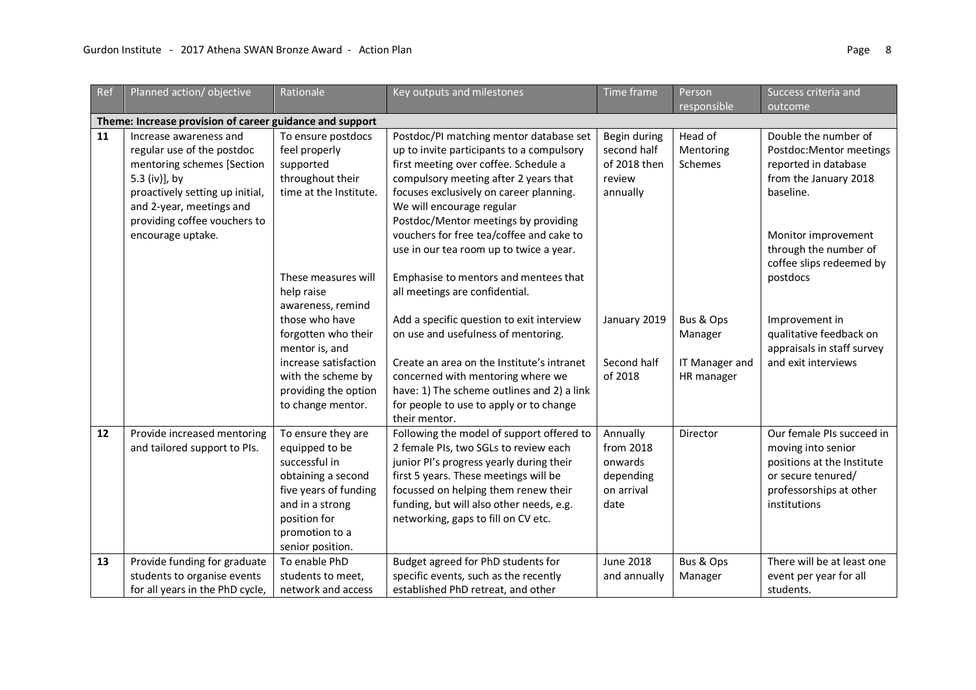| Ref | Planned action/objective                                                                                                                                                                                                                                                            | Rationale                                                                                                                                                                                                     | Key outputs and milestones                                                                                                                                                                                                                                                                                                                                                    | Time frame                                                          | Person                                               | Success criteria and<br>outcome                                                                                                                                                            |
|-----|-------------------------------------------------------------------------------------------------------------------------------------------------------------------------------------------------------------------------------------------------------------------------------------|---------------------------------------------------------------------------------------------------------------------------------------------------------------------------------------------------------------|-------------------------------------------------------------------------------------------------------------------------------------------------------------------------------------------------------------------------------------------------------------------------------------------------------------------------------------------------------------------------------|---------------------------------------------------------------------|------------------------------------------------------|--------------------------------------------------------------------------------------------------------------------------------------------------------------------------------------------|
|     |                                                                                                                                                                                                                                                                                     |                                                                                                                                                                                                               |                                                                                                                                                                                                                                                                                                                                                                               |                                                                     | responsible                                          |                                                                                                                                                                                            |
| 11  | Theme: Increase provision of career guidance and support<br>Increase awareness and<br>regular use of the postdoc<br>mentoring schemes [Section<br>5.3 (iv)], by<br>proactively setting up initial,<br>and 2-year, meetings and<br>providing coffee vouchers to<br>encourage uptake. | To ensure postdocs<br>feel properly<br>supported<br>throughout their<br>time at the Institute.                                                                                                                | Postdoc/PI matching mentor database set<br>up to invite participants to a compulsory<br>first meeting over coffee. Schedule a<br>compulsory meeting after 2 years that<br>focuses exclusively on career planning.<br>We will encourage regular<br>Postdoc/Mentor meetings by providing<br>vouchers for free tea/coffee and cake to<br>use in our tea room up to twice a year. | Begin during<br>second half<br>of 2018 then<br>review<br>annually   | Head of<br>Mentoring<br>Schemes                      | Double the number of<br>Postdoc: Mentor meetings<br>reported in database<br>from the January 2018<br>baseline.<br>Monitor improvement<br>through the number of<br>coffee slips redeemed by |
|     |                                                                                                                                                                                                                                                                                     | These measures will<br>help raise<br>awareness, remind<br>those who have<br>forgotten who their<br>mentor is, and<br>increase satisfaction<br>with the scheme by<br>providing the option<br>to change mentor. | Emphasise to mentors and mentees that<br>all meetings are confidential.<br>Add a specific question to exit interview<br>on use and usefulness of mentoring.<br>Create an area on the Institute's intranet<br>concerned with mentoring where we<br>have: 1) The scheme outlines and 2) a link<br>for people to use to apply or to change<br>their mentor.                      | January 2019<br>Second half<br>of 2018                              | Bus & Ops<br>Manager<br>IT Manager and<br>HR manager | postdocs<br>Improvement in<br>qualitative feedback on<br>appraisals in staff survey<br>and exit interviews                                                                                 |
| 12  | Provide increased mentoring<br>and tailored support to PIs.                                                                                                                                                                                                                         | To ensure they are<br>equipped to be<br>successful in<br>obtaining a second<br>five years of funding<br>and in a strong<br>position for<br>promotion to a<br>senior position.                                 | Following the model of support offered to<br>2 female PIs, two SGLs to review each<br>junior PI's progress yearly during their<br>first 5 years. These meetings will be<br>focussed on helping them renew their<br>funding, but will also other needs, e.g.<br>networking, gaps to fill on CV etc.                                                                            | Annually<br>from 2018<br>onwards<br>depending<br>on arrival<br>date | Director                                             | Our female PIs succeed in<br>moving into senior<br>positions at the Institute<br>or secure tenured/<br>professorships at other<br>institutions                                             |
| 13  | Provide funding for graduate<br>students to organise events<br>for all years in the PhD cycle,                                                                                                                                                                                      | To enable PhD<br>students to meet,<br>network and access                                                                                                                                                      | Budget agreed for PhD students for<br>specific events, such as the recently<br>established PhD retreat, and other                                                                                                                                                                                                                                                             | <b>June 2018</b><br>and annually                                    | Bus & Ops<br>Manager                                 | There will be at least one<br>event per year for all<br>students.                                                                                                                          |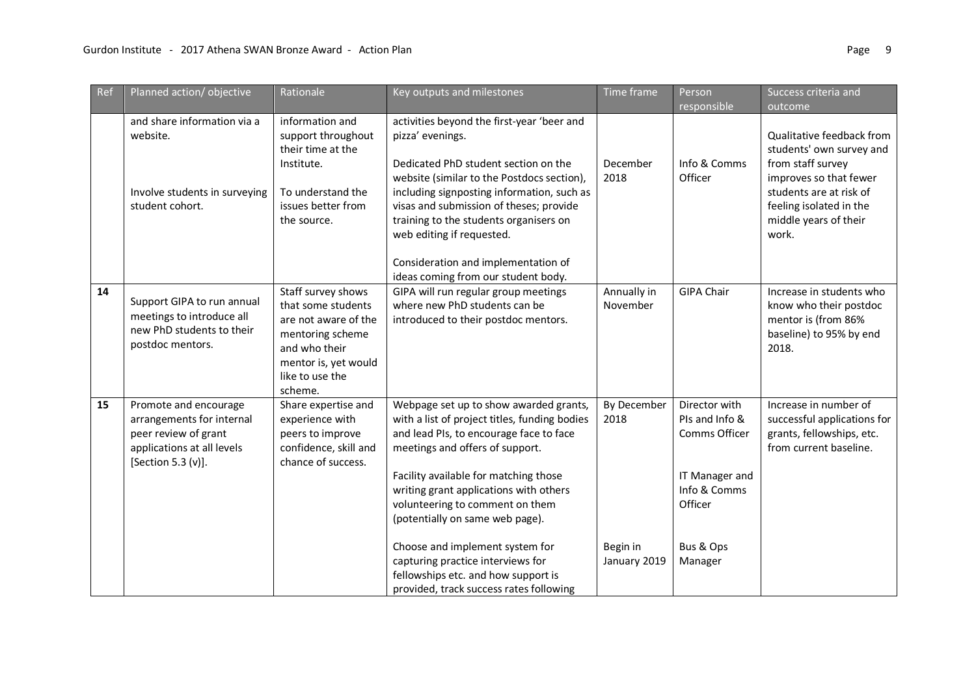| Ref | Planned action/objective                                                                                                       | Rationale                                                                                                                                                   | Key outputs and milestones                                                                                                                                                                                                                                                                                                     | Time frame               | Person                                                                                        | Success criteria and                                                                                           |
|-----|--------------------------------------------------------------------------------------------------------------------------------|-------------------------------------------------------------------------------------------------------------------------------------------------------------|--------------------------------------------------------------------------------------------------------------------------------------------------------------------------------------------------------------------------------------------------------------------------------------------------------------------------------|--------------------------|-----------------------------------------------------------------------------------------------|----------------------------------------------------------------------------------------------------------------|
|     |                                                                                                                                |                                                                                                                                                             |                                                                                                                                                                                                                                                                                                                                |                          | responsible                                                                                   | outcome                                                                                                        |
|     | and share information via a<br>website.                                                                                        | information and<br>support throughout<br>their time at the<br>Institute.                                                                                    | activities beyond the first-year 'beer and<br>pizza' evenings.<br>Dedicated PhD student section on the                                                                                                                                                                                                                         | December                 | Info & Comms                                                                                  | Qualitative feedback from<br>students' own survey and<br>from staff survey                                     |
|     | Involve students in surveying<br>student cohort.                                                                               | To understand the<br>issues better from<br>the source.                                                                                                      | website (similar to the Postdocs section),<br>including signposting information, such as<br>visas and submission of theses; provide<br>training to the students organisers on<br>web editing if requested.                                                                                                                     | 2018                     | Officer                                                                                       | improves so that fewer<br>students are at risk of<br>feeling isolated in the<br>middle years of their<br>work. |
|     |                                                                                                                                |                                                                                                                                                             | Consideration and implementation of<br>ideas coming from our student body.                                                                                                                                                                                                                                                     |                          |                                                                                               |                                                                                                                |
| 14  | Support GIPA to run annual<br>meetings to introduce all<br>new PhD students to their<br>postdoc mentors.                       | Staff survey shows<br>that some students<br>are not aware of the<br>mentoring scheme<br>and who their<br>mentor is, yet would<br>like to use the<br>scheme. | GIPA will run regular group meetings<br>where new PhD students can be<br>introduced to their postdoc mentors.                                                                                                                                                                                                                  | Annually in<br>November  | <b>GIPA Chair</b>                                                                             | Increase in students who<br>know who their postdoc<br>mentor is (from 86%<br>baseline) to 95% by end<br>2018.  |
| 15  | Promote and encourage<br>arrangements for internal<br>peer review of grant<br>applications at all levels<br>[Section 5.3 (v)]. | Share expertise and<br>experience with<br>peers to improve<br>confidence, skill and<br>chance of success.                                                   | Webpage set up to show awarded grants,<br>with a list of project titles, funding bodies<br>and lead PIs, to encourage face to face<br>meetings and offers of support.<br>Facility available for matching those<br>writing grant applications with others<br>volunteering to comment on them<br>(potentially on same web page). | By December<br>2018      | Director with<br>PIs and Info &<br>Comms Officer<br>IT Manager and<br>Info & Comms<br>Officer | Increase in number of<br>successful applications for<br>grants, fellowships, etc.<br>from current baseline.    |
|     |                                                                                                                                |                                                                                                                                                             | Choose and implement system for<br>capturing practice interviews for<br>fellowships etc. and how support is<br>provided, track success rates following                                                                                                                                                                         | Begin in<br>January 2019 | Bus & Ops<br>Manager                                                                          |                                                                                                                |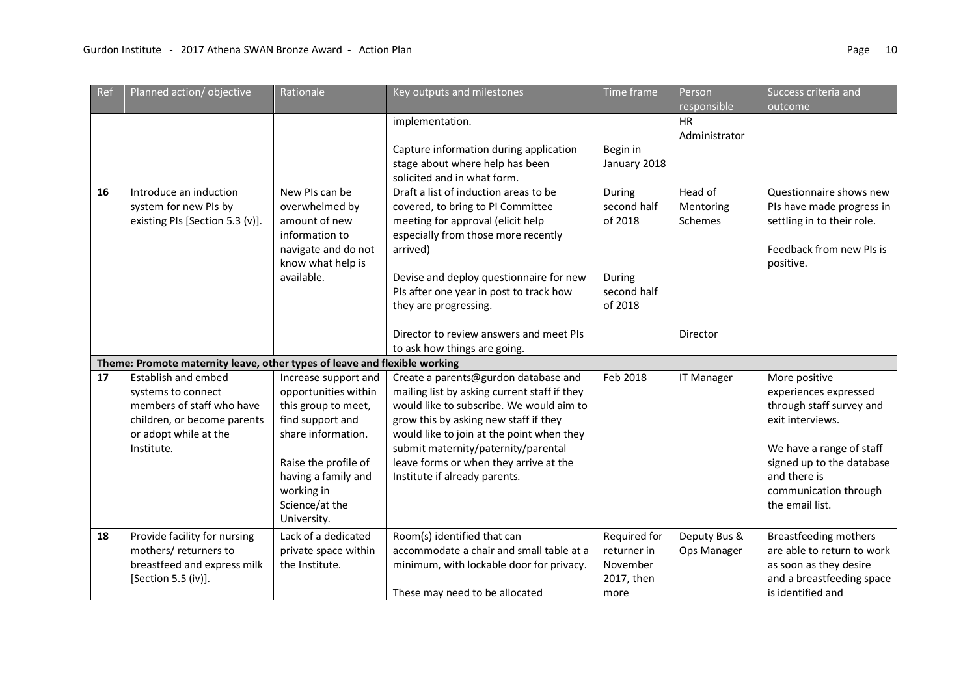| Ref | Planned action/objective                                                  | Rationale            | Key outputs and milestones                   | Time frame   | Person            | Success criteria and         |
|-----|---------------------------------------------------------------------------|----------------------|----------------------------------------------|--------------|-------------------|------------------------------|
|     |                                                                           |                      |                                              |              | responsible       | outcome                      |
|     |                                                                           |                      | implementation.                              |              | <b>HR</b>         |                              |
|     |                                                                           |                      |                                              |              | Administrator     |                              |
|     |                                                                           |                      | Capture information during application       | Begin in     |                   |                              |
|     |                                                                           |                      | stage about where help has been              | January 2018 |                   |                              |
|     |                                                                           |                      | solicited and in what form.                  |              |                   |                              |
| 16  | Introduce an induction                                                    | New PIs can be       | Draft a list of induction areas to be        | During       | Head of           | Questionnaire shows new      |
|     | system for new PIs by                                                     | overwhelmed by       | covered, to bring to PI Committee            | second half  | Mentoring         | PIs have made progress in    |
|     | existing PIs [Section 5.3 (v)].                                           | amount of new        | meeting for approval (elicit help            | of 2018      | Schemes           | settling in to their role.   |
|     |                                                                           | information to       | especially from those more recently          |              |                   |                              |
|     |                                                                           | navigate and do not  | arrived)                                     |              |                   | Feedback from new PIs is     |
|     |                                                                           | know what help is    |                                              |              |                   | positive.                    |
|     |                                                                           | available.           | Devise and deploy questionnaire for new      | During       |                   |                              |
|     |                                                                           |                      | PIs after one year in post to track how      | second half  |                   |                              |
|     |                                                                           |                      | they are progressing.                        | of 2018      |                   |                              |
|     |                                                                           |                      |                                              |              |                   |                              |
|     |                                                                           |                      | Director to review answers and meet PIs      |              | Director          |                              |
|     | Theme: Promote maternity leave, other types of leave and flexible working |                      | to ask how things are going.                 |              |                   |                              |
| 17  | Establish and embed                                                       | Increase support and | Create a parents@gurdon database and         | Feb 2018     | <b>IT Manager</b> | More positive                |
|     | systems to connect                                                        | opportunities within | mailing list by asking current staff if they |              |                   | experiences expressed        |
|     | members of staff who have                                                 | this group to meet,  | would like to subscribe. We would aim to     |              |                   | through staff survey and     |
|     | children, or become parents                                               | find support and     | grow this by asking new staff if they        |              |                   | exit interviews.             |
|     | or adopt while at the                                                     | share information.   | would like to join at the point when they    |              |                   |                              |
|     | Institute.                                                                |                      | submit maternity/paternity/parental          |              |                   | We have a range of staff     |
|     |                                                                           | Raise the profile of | leave forms or when they arrive at the       |              |                   | signed up to the database    |
|     |                                                                           | having a family and  | Institute if already parents.                |              |                   | and there is                 |
|     |                                                                           | working in           |                                              |              |                   | communication through        |
|     |                                                                           | Science/at the       |                                              |              |                   | the email list.              |
|     |                                                                           | University.          |                                              |              |                   |                              |
| 18  | Provide facility for nursing                                              | Lack of a dedicated  | Room(s) identified that can                  | Required for | Deputy Bus &      | <b>Breastfeeding mothers</b> |
|     | mothers/ returners to                                                     | private space within | accommodate a chair and small table at a     | returner in  | Ops Manager       | are able to return to work   |
|     | breastfeed and express milk                                               | the Institute.       | minimum, with lockable door for privacy.     | November     |                   | as soon as they desire       |
|     | [Section 5.5 (iv)].                                                       |                      |                                              | 2017, then   |                   | and a breastfeeding space    |
|     |                                                                           |                      | These may need to be allocated               | more         |                   | is identified and            |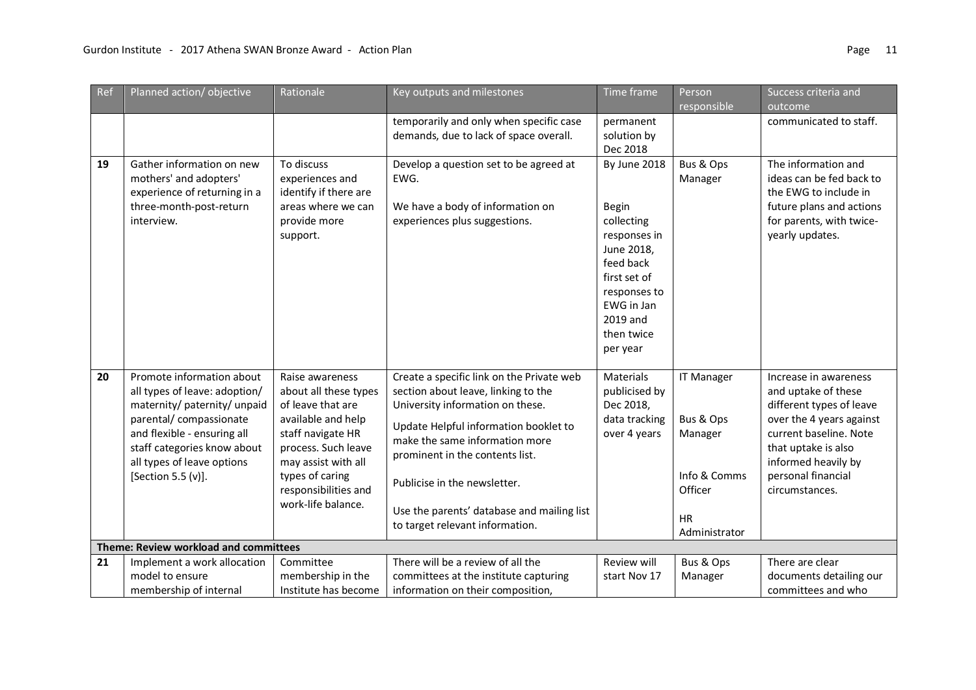| Ref | Planned action/objective                                                                                                                                                                                                                | Rationale                                                                                                                                                                                                               | Key outputs and milestones                                                                                                                                                                                                                                                                                                                          | Time frame                                                                                                                                                                | Person                                                                                             | Success criteria and                                                                                                                                                                                                 |
|-----|-----------------------------------------------------------------------------------------------------------------------------------------------------------------------------------------------------------------------------------------|-------------------------------------------------------------------------------------------------------------------------------------------------------------------------------------------------------------------------|-----------------------------------------------------------------------------------------------------------------------------------------------------------------------------------------------------------------------------------------------------------------------------------------------------------------------------------------------------|---------------------------------------------------------------------------------------------------------------------------------------------------------------------------|----------------------------------------------------------------------------------------------------|----------------------------------------------------------------------------------------------------------------------------------------------------------------------------------------------------------------------|
|     |                                                                                                                                                                                                                                         |                                                                                                                                                                                                                         |                                                                                                                                                                                                                                                                                                                                                     |                                                                                                                                                                           | responsible                                                                                        | outcome                                                                                                                                                                                                              |
|     |                                                                                                                                                                                                                                         |                                                                                                                                                                                                                         | temporarily and only when specific case                                                                                                                                                                                                                                                                                                             | permanent                                                                                                                                                                 |                                                                                                    | communicated to staff.                                                                                                                                                                                               |
|     |                                                                                                                                                                                                                                         |                                                                                                                                                                                                                         | demands, due to lack of space overall.                                                                                                                                                                                                                                                                                                              | solution by                                                                                                                                                               |                                                                                                    |                                                                                                                                                                                                                      |
|     |                                                                                                                                                                                                                                         |                                                                                                                                                                                                                         |                                                                                                                                                                                                                                                                                                                                                     | Dec 2018                                                                                                                                                                  |                                                                                                    |                                                                                                                                                                                                                      |
| 19  | Gather information on new<br>mothers' and adopters'<br>experience of returning in a<br>three-month-post-return<br>interview.                                                                                                            | To discuss<br>experiences and<br>identify if there are<br>areas where we can<br>provide more<br>support.                                                                                                                | Develop a question set to be agreed at<br>EWG.<br>We have a body of information on<br>experiences plus suggestions.                                                                                                                                                                                                                                 | By June 2018<br><b>Begin</b><br>collecting<br>responses in<br>June 2018,<br>feed back<br>first set of<br>responses to<br>EWG in Jan<br>2019 and<br>then twice<br>per year | Bus & Ops<br>Manager                                                                               | The information and<br>ideas can be fed back to<br>the EWG to include in<br>future plans and actions<br>for parents, with twice-<br>yearly updates.                                                                  |
| 20  | Promote information about<br>all types of leave: adoption/<br>maternity/ paternity/ unpaid<br>parental/ compassionate<br>and flexible - ensuring all<br>staff categories know about<br>all types of leave options<br>[Section 5.5 (v)]. | Raise awareness<br>about all these types<br>of leave that are<br>available and help<br>staff navigate HR<br>process. Such leave<br>may assist with all<br>types of caring<br>responsibilities and<br>work-life balance. | Create a specific link on the Private web<br>section about leave, linking to the<br>University information on these.<br>Update Helpful information booklet to<br>make the same information more<br>prominent in the contents list.<br>Publicise in the newsletter.<br>Use the parents' database and mailing list<br>to target relevant information. | <b>Materials</b><br>publicised by<br>Dec 2018,<br>data tracking<br>over 4 years                                                                                           | <b>IT Manager</b><br>Bus & Ops<br>Manager<br>Info & Comms<br>Officer<br><b>HR</b><br>Administrator | Increase in awareness<br>and uptake of these<br>different types of leave<br>over the 4 years against<br>current baseline. Note<br>that uptake is also<br>informed heavily by<br>personal financial<br>circumstances. |
|     | Theme: Review workload and committees                                                                                                                                                                                                   |                                                                                                                                                                                                                         |                                                                                                                                                                                                                                                                                                                                                     |                                                                                                                                                                           |                                                                                                    |                                                                                                                                                                                                                      |
| 21  | Implement a work allocation                                                                                                                                                                                                             | Committee                                                                                                                                                                                                               | There will be a review of all the                                                                                                                                                                                                                                                                                                                   | Review will                                                                                                                                                               | Bus & Ops                                                                                          | There are clear                                                                                                                                                                                                      |
|     | model to ensure                                                                                                                                                                                                                         | membership in the                                                                                                                                                                                                       | committees at the institute capturing                                                                                                                                                                                                                                                                                                               | start Nov 17                                                                                                                                                              | Manager                                                                                            | documents detailing our                                                                                                                                                                                              |
|     | membership of internal                                                                                                                                                                                                                  | Institute has become                                                                                                                                                                                                    | information on their composition,                                                                                                                                                                                                                                                                                                                   |                                                                                                                                                                           |                                                                                                    | committees and who                                                                                                                                                                                                   |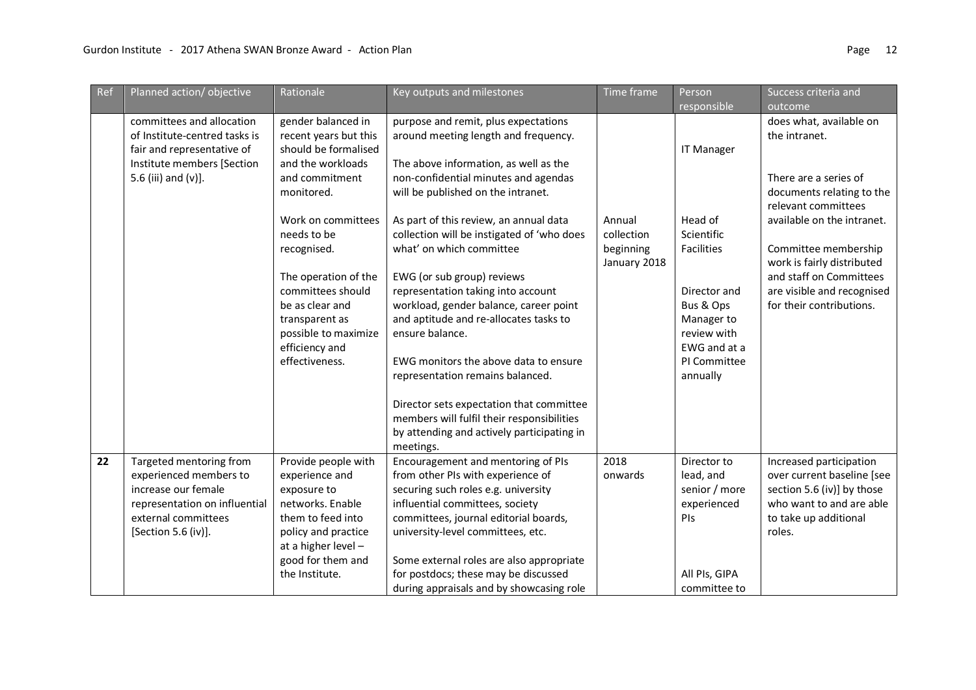|    | committees and allocation<br>of Institute-centred tasks is<br>fair and representative of                                                                | gender balanced in<br>recent years but this                                                                                                                                                    | purpose and remit, plus expectations                                                                                                                                                                                                                                                                                                                                                                                                                               |                                                   |                                                                                                                                           |                                                                                                                                                                       |
|----|---------------------------------------------------------------------------------------------------------------------------------------------------------|------------------------------------------------------------------------------------------------------------------------------------------------------------------------------------------------|--------------------------------------------------------------------------------------------------------------------------------------------------------------------------------------------------------------------------------------------------------------------------------------------------------------------------------------------------------------------------------------------------------------------------------------------------------------------|---------------------------------------------------|-------------------------------------------------------------------------------------------------------------------------------------------|-----------------------------------------------------------------------------------------------------------------------------------------------------------------------|
|    | Institute members [Section<br>5.6 (iii) and (v)].                                                                                                       | should be formalised<br>and the workloads<br>and commitment<br>monitored.                                                                                                                      | around meeting length and frequency.<br>The above information, as well as the<br>non-confidential minutes and agendas<br>will be published on the intranet.                                                                                                                                                                                                                                                                                                        |                                                   | <b>IT Manager</b>                                                                                                                         | does what, available on<br>the intranet.<br>There are a series of<br>documents relating to the<br>relevant committees                                                 |
|    |                                                                                                                                                         | Work on committees<br>needs to be<br>recognised.<br>The operation of the<br>committees should<br>be as clear and<br>transparent as<br>possible to maximize<br>efficiency and<br>effectiveness. | As part of this review, an annual data<br>collection will be instigated of 'who does<br>what' on which committee<br>EWG (or sub group) reviews<br>representation taking into account<br>workload, gender balance, career point<br>and aptitude and re-allocates tasks to<br>ensure balance.<br>EWG monitors the above data to ensure<br>representation remains balanced.<br>Director sets expectation that committee<br>members will fulfil their responsibilities | Annual<br>collection<br>beginning<br>January 2018 | Head of<br>Scientific<br>Facilities<br>Director and<br>Bus & Ops<br>Manager to<br>review with<br>EWG and at a<br>PI Committee<br>annually | available on the intranet.<br>Committee membership<br>work is fairly distributed<br>and staff on Committees<br>are visible and recognised<br>for their contributions. |
| 22 | Targeted mentoring from<br>experienced members to<br>increase our female<br>representation on influential<br>external committees<br>[Section 5.6 (iv)]. | Provide people with<br>experience and<br>exposure to<br>networks. Enable<br>them to feed into<br>policy and practice<br>at a higher level -<br>good for them and<br>the Institute.             | by attending and actively participating in<br>meetings.<br>Encouragement and mentoring of PIs<br>from other PIs with experience of<br>securing such roles e.g. university<br>influential committees, society<br>committees, journal editorial boards,<br>university-level committees, etc.<br>Some external roles are also appropriate<br>for postdocs; these may be discussed                                                                                     | 2018<br>onwards                                   | Director to<br>lead, and<br>senior / more<br>experienced<br>PIs<br>All PIs, GIPA                                                          | Increased participation<br>over current baseline [see<br>section 5.6 (iv)] by those<br>who want to and are able<br>to take up additional<br>roles.                    |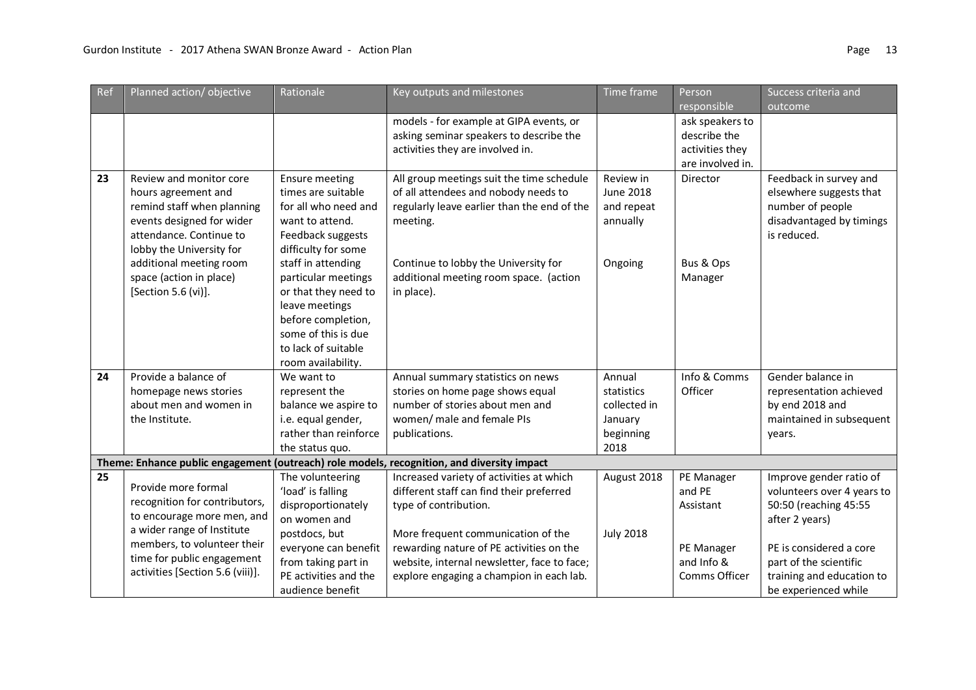| Ref                                                                                        | Planned action/objective         | Rationale             | Key outputs and milestones                  | Time frame       | Person           | Success criteria and       |  |  |  |
|--------------------------------------------------------------------------------------------|----------------------------------|-----------------------|---------------------------------------------|------------------|------------------|----------------------------|--|--|--|
|                                                                                            |                                  |                       |                                             |                  | responsible      | outcome                    |  |  |  |
|                                                                                            |                                  |                       | models - for example at GIPA events, or     |                  | ask speakers to  |                            |  |  |  |
|                                                                                            |                                  |                       | asking seminar speakers to describe the     |                  | describe the     |                            |  |  |  |
|                                                                                            |                                  |                       | activities they are involved in.            |                  | activities they  |                            |  |  |  |
|                                                                                            |                                  |                       |                                             |                  | are involved in. |                            |  |  |  |
| 23                                                                                         | Review and monitor core          | <b>Ensure meeting</b> | All group meetings suit the time schedule   | Review in        | Director         | Feedback in survey and     |  |  |  |
|                                                                                            | hours agreement and              | times are suitable    | of all attendees and nobody needs to        | June 2018        |                  | elsewhere suggests that    |  |  |  |
|                                                                                            | remind staff when planning       | for all who need and  | regularly leave earlier than the end of the | and repeat       |                  | number of people           |  |  |  |
|                                                                                            | events designed for wider        | want to attend.       | meeting.                                    | annually         |                  | disadvantaged by timings   |  |  |  |
|                                                                                            | attendance. Continue to          | Feedback suggests     |                                             |                  |                  | is reduced.                |  |  |  |
|                                                                                            | lobby the University for         | difficulty for some   |                                             |                  |                  |                            |  |  |  |
|                                                                                            | additional meeting room          | staff in attending    | Continue to lobby the University for        | Ongoing          | Bus & Ops        |                            |  |  |  |
|                                                                                            | space (action in place)          | particular meetings   | additional meeting room space. (action      |                  | Manager          |                            |  |  |  |
|                                                                                            | [Section 5.6 (vi)].              | or that they need to  | in place).                                  |                  |                  |                            |  |  |  |
|                                                                                            |                                  | leave meetings        |                                             |                  |                  |                            |  |  |  |
|                                                                                            |                                  | before completion,    |                                             |                  |                  |                            |  |  |  |
|                                                                                            |                                  | some of this is due   |                                             |                  |                  |                            |  |  |  |
|                                                                                            |                                  | to lack of suitable   |                                             |                  |                  |                            |  |  |  |
|                                                                                            |                                  | room availability.    |                                             |                  |                  |                            |  |  |  |
| 24                                                                                         | Provide a balance of             | We want to            | Annual summary statistics on news           | Annual           | Info & Comms     | Gender balance in          |  |  |  |
|                                                                                            | homepage news stories            | represent the         | stories on home page shows equal            | statistics       | Officer          | representation achieved    |  |  |  |
|                                                                                            | about men and women in           | balance we aspire to  | number of stories about men and             | collected in     |                  | by end 2018 and            |  |  |  |
|                                                                                            | the Institute.                   | i.e. equal gender,    | women/ male and female PIs                  | January          |                  | maintained in subsequent   |  |  |  |
|                                                                                            |                                  | rather than reinforce | publications.                               | beginning        |                  | years.                     |  |  |  |
|                                                                                            |                                  | the status quo.       |                                             | 2018             |                  |                            |  |  |  |
| Theme: Enhance public engagement (outreach) role models, recognition, and diversity impact |                                  |                       |                                             |                  |                  |                            |  |  |  |
| 25                                                                                         |                                  | The volunteering      | Increased variety of activities at which    | August 2018      | PE Manager       | Improve gender ratio of    |  |  |  |
|                                                                                            | Provide more formal              | 'load' is falling     | different staff can find their preferred    |                  | and PE           | volunteers over 4 years to |  |  |  |
|                                                                                            | recognition for contributors,    | disproportionately    | type of contribution.                       |                  | Assistant        | 50:50 (reaching 45:55      |  |  |  |
|                                                                                            | to encourage more men, and       | on women and          |                                             |                  |                  | after 2 years)             |  |  |  |
|                                                                                            | a wider range of Institute       | postdocs, but         | More frequent communication of the          | <b>July 2018</b> |                  |                            |  |  |  |
|                                                                                            | members, to volunteer their      | everyone can benefit  | rewarding nature of PE activities on the    |                  | PE Manager       | PE is considered a core    |  |  |  |
|                                                                                            | time for public engagement       | from taking part in   | website, internal newsletter, face to face; |                  | and Info &       | part of the scientific     |  |  |  |
|                                                                                            | activities [Section 5.6 (viii)]. | PE activities and the | explore engaging a champion in each lab.    |                  | Comms Officer    | training and education to  |  |  |  |
|                                                                                            |                                  | audience benefit      |                                             |                  |                  | be experienced while       |  |  |  |